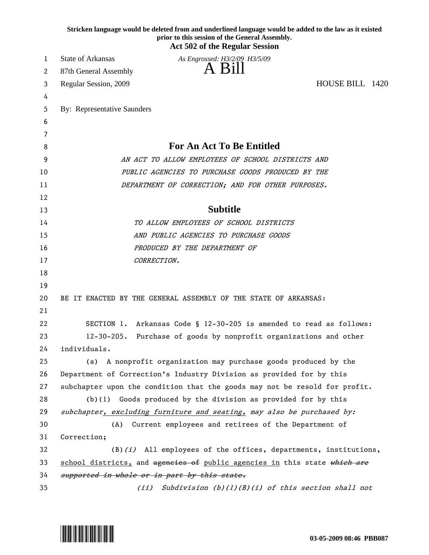|    | Stricken language would be deleted from and underlined language would be added to the law as it existed<br>prior to this session of the General Assembly.<br><b>Act 502 of the Regular Session</b> |
|----|----------------------------------------------------------------------------------------------------------------------------------------------------------------------------------------------------|
| 1  | <b>State of Arkansas</b><br>As Engrossed: H3/2/09 H3/5/09                                                                                                                                          |
| 2  | A Bill<br>87th General Assembly                                                                                                                                                                    |
| 3  | HOUSE BILL 1420<br>Regular Session, 2009                                                                                                                                                           |
| 4  |                                                                                                                                                                                                    |
| 5  | By: Representative Saunders                                                                                                                                                                        |
| 6  |                                                                                                                                                                                                    |
| 7  |                                                                                                                                                                                                    |
| 8  | <b>For An Act To Be Entitled</b>                                                                                                                                                                   |
| 9  | AN ACT TO ALLOW EMPLOYEES OF SCHOOL DISTRICTS AND                                                                                                                                                  |
| 10 | PUBLIC AGENCIES TO PURCHASE GOODS PRODUCED BY THE                                                                                                                                                  |
| 11 | DEPARTMENT OF CORRECTION; AND FOR OTHER PURPOSES.                                                                                                                                                  |
| 12 |                                                                                                                                                                                                    |
| 13 | <b>Subtitle</b>                                                                                                                                                                                    |
| 14 | TO ALLOW EMPLOYEES OF SCHOOL DISTRICTS                                                                                                                                                             |
| 15 | AND PUBLIC AGENCIES TO PURCHASE GOODS                                                                                                                                                              |
| 16 | PRODUCED BY THE DEPARTMENT OF                                                                                                                                                                      |
| 17 | CORRECTION.                                                                                                                                                                                        |
| 18 |                                                                                                                                                                                                    |
| 19 |                                                                                                                                                                                                    |
| 20 | BE IT ENACTED BY THE GENERAL ASSEMBLY OF THE STATE OF ARKANSAS:                                                                                                                                    |
| 21 |                                                                                                                                                                                                    |
| 22 | SECTION 1. Arkansas Code § 12-30-205 is amended to read as follows:                                                                                                                                |
| 23 | Purchase of goods by nonprofit organizations and other<br>$12 - 30 - 205$ .                                                                                                                        |
| 24 | individuals.                                                                                                                                                                                       |
| 25 | (a) A nonprofit organization may purchase goods produced by the                                                                                                                                    |
| 26 | Department of Correction's Industry Division as provided for by this                                                                                                                               |
| 27 | subchapter upon the condition that the goods may not be resold for profit.                                                                                                                         |
| 28 | (b)(1) Goods produced by the division as provided for by this                                                                                                                                      |
| 29 | subchapter, excluding furniture and seating, may also be purchased by:                                                                                                                             |
| 30 | Current employees and retirees of the Department of<br>(A)                                                                                                                                         |
| 31 | Correction;                                                                                                                                                                                        |
| 32 | $(B)(i)$ All employees of the offices, departments, institutions,                                                                                                                                  |
| 33 | school districts, and ageneies of public agencies in this state which are                                                                                                                          |
| 34 | supported in whole or in part by this state.                                                                                                                                                       |
| 35 | Subdivision $(b)(1)(B)(i)$ of this section shall not<br>(iii)                                                                                                                                      |